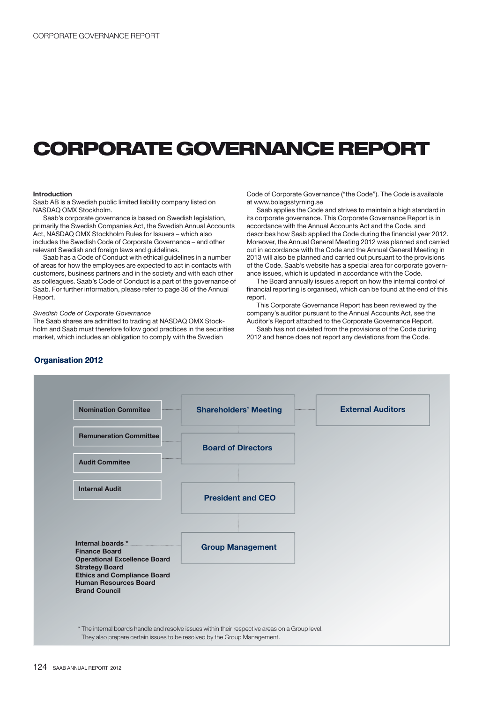# **CORPORATE GOVERNANCE REPORT**

#### **Introduction**

Saab AB is a Swedish public limited liability company listed on NASDAQ OMX Stockholm.

Saab's corporate governance is based on Swedish legislation, primarily the Swedish Companies Act, the Swedish Annual Accounts Act, NASDAQ OMX Stockholm Rules for Issuers – which also includes the Swedish Code of Corporate Governance – and other relevant Swedish and foreign laws and guidelines.

Saab has a Code of Conduct with ethical guidelines in a number of areas for how the employees are expected to act in contacts with customers, business partners and in the society and with each other as colleagues. Saab's Code of Conduct is a part of the governance of Saab. For further information, please refer to page 36 of the Annual Report.

#### Swedish Code of Corporate Governance

The Saab shares are admitted to trading at NASDAQ OMX Stockholm and Saab must therefore follow good practices in the securities market, which includes an obligation to comply with the Swedish

Code of Corporate Governance ("the Code"). The Code is available at www.bolagsstyrning.se

Saab applies the Code and strives to maintain a high standard in its corporate governance. This Corporate Governance Report is in accordance with the Annual Accounts Act and the Code, and describes how Saab applied the Code during the financial year 2012. Moreover, the Annual General Meeting 2012 was planned and carried out in accordance with the Code and the Annual General Meeting in 2013 will also be planned and carried out pursuant to the provisions of the Code. Saab's website has a special area for corporate governance issues, which is updated in accordance with the Code.

The Board annually issues a report on how the internal control of financial reporting is organised, which can be found at the end of this report.

This Corporate Governance Report has been reviewed by the company's auditor pursuant to the Annual Accounts Act, see the Auditor's Report attached to the Corporate Governance Report.

Saab has not deviated from the provisions of the Code during 2012 and hence does not report any deviations from the Code.



## **Organisation 2012**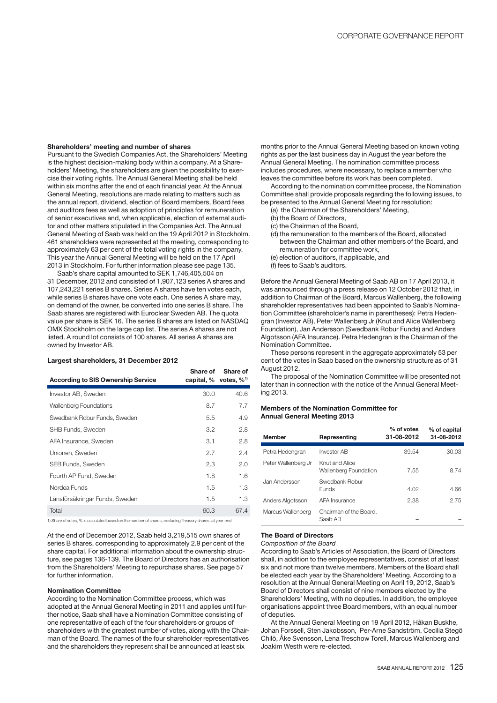#### **Shareholders' meeting and number of shares**

Pursuant to the Swedish Companies Act, the Shareholders' Meeting is the highest decision-making body within a company. At a Shareholders' Meeting, the shareholders are given the possibility to exercise their voting rights. The Annual General Meeting shall be held within six months after the end of each financial year. At the Annual General Meeting, resolutions are made relating to matters such as the annual report, dividend, election of Board members, Board fees and auditors fees as well as adoption of principles for remuneration of senior executives and, when applicable, election of external auditor and other matters stipulated in the Companies Act. The Annual General Meeting of Saab was held on the 19 April 2012 in Stockholm. 461 shareholders were represented at the meeting, corresponding to approximately 63 per cent of the total voting rights in the company. This year the Annual General Meeting will be held on the 17 April 2013 in Stockholm. For further information please see page 135.

Saab's share capital amounted to SEK 1,746,405,504 on 31 December, 2012 and consisted of 1,907,123 series A shares and 107,243,221 series B shares. Series A shares have ten votes each, while series B shares have one vote each. One series A share may, on demand of the owner, be converted into one series B share. The Saab shares are registered with Euroclear Sweden AB. The quota value per share is SEK 16. The series B shares are listed on NASDAQ OMX Stockholm on the large cap list. The series A shares are not listed. A round lot consists of 100 shares. All series A shares are owned by Investor AB.

## **Largest shareholders, 31 December 2012**

| <b>According to SIS Ownership Service</b> | Share of<br>capital, $\%$ votes, $\%$ <sup>1)</sup> | Share of |
|-------------------------------------------|-----------------------------------------------------|----------|
| Investor AB, Sweden                       | 30.0                                                | 40.6     |
| <b>Wallenberg Foundations</b>             | 8.7                                                 | 7.7      |
| Swedbank Robur Funds, Sweden              | 5.5                                                 | 4.9      |
| SHB Funds, Sweden                         | 3.2                                                 | 2.8      |
| AFA Insurance, Sweden                     | 3.1                                                 | 2.8      |
| Unionen, Sweden                           | 2.7                                                 | 2.4      |
| SEB Funds, Sweden                         | 2.3                                                 | 2.0      |
| Fourth AP Fund, Sweden                    | 1.8                                                 | 1.6      |
| Nordea Funds                              | 1.5                                                 | 1.3      |
| Länsförsäkringar Funds, Sweden            | 1.5                                                 | 1.3      |
| Total                                     | 60.3                                                | 67.4     |

1) Share of votes, % is calculated based on the number of shares, excluding Treasury shares, at year-end.

At the end of December 2012, Saab held 3,219,515 own shares of series B shares, corresponding to approximately 2.9 per cent of the share capital. For additional information about the ownership structure, see pages 136-139. The Board of Directors has an authorisation from the Shareholders' Meeting to repurchase shares. See page 57 for further information.

## **Nomination Committee**

According to the Nomination Committee process, which was adopted at the Annual General Meeting in 2011 and applies until further notice, Saab shall have a Nomination Committee consisting of one representative of each of the four shareholders or groups of shareholders with the greatest number of votes, along with the Chairman of the Board. The names of the four shareholder representatives and the shareholders they represent shall be announced at least six

months prior to the Annual General Meeting based on known voting rights as per the last business day in August the year before the Annual General Meeting. The nomination committee process includes procedures, where necessary, to replace a member who leaves the committee before its work has been completed.

According to the nomination committee process, the Nomination Committee shall provide proposals regarding the following issues, to be presented to the Annual General Meeting for resolution:

- (a) the Chairman of the Shareholders' Meeting,
- (b) the Board of Directors,
- (c) the Chairman of the Board,
- (d) the remuneration to the members of the Board, allocated between the Chairman and other members of the Board, and remuneration for committee work,
- (e) election of auditors, if applicable, and
- (f) fees to Saab's auditors.

Before the Annual General Meeting of Saab AB on 17 April 2013, it was announced through a press release on 12 October 2012 that, in addition to Chairman of the Board, Marcus Wallenberg, the following shareholder representatives had been appointed to Saab's Nomination Committee (shareholder's name in parentheses): Petra Hedengran (Investor AB), Peter Wallenberg Jr (Knut and Alice Wallenberg Foundation), Jan Andersson (Swedbank Robur Funds) and Anders Algotsson (AFA Insurance). Petra Hedengran is the Chairman of the Nomination Committee.

These persons represent in the aggregate approximately 53 per cent of the votes in Saab based on the ownership structure as of 31 August 2012.

The proposal of the Nomination Committee will be presented not later than in connection with the notice of the Annual General Meeting 2013.

## **Members of the Nomination Committee for Annual General Meeting 2013**

| <b>Member</b>       | Representing                            | % of votes<br>31-08-2012 | % of capital<br>31-08-2012 |
|---------------------|-----------------------------------------|--------------------------|----------------------------|
| Petra Hedengran     | <b>Investor AB</b>                      | 39.54                    | 30.03                      |
| Peter Wallenberg Jr | Knut and Alice<br>Wallenberg Foundation | 7.55                     | 8.74                       |
| Jan Andersson       | Swedbank Robur<br><b>Funds</b>          | 4.02                     | 4.66                       |
| Anders Algotsson    | AFA Insurance                           | 2.38                     | 2.75                       |
| Marcus Wallenberg   | Chairman of the Board.<br>Saab AB       |                          |                            |

### **The Board of Directors**

Composition of the Board

According to Saab's Articles of Association, the Board of Directors shall, in addition to the employee representatives, consist of at least six and not more than twelve members. Members of the Board shall be elected each year by the Shareholders' Meeting. According to a resolution at the Annual General Meeting on April 19, 2012, Saab's Board of Directors shall consist of nine members elected by the Shareholders' Meeting, with no deputies. In addition, the employee organisations appoint three Board members, with an equal number of deputies.

At the Annual General Meeting on 19 April 2012, Håkan Buskhe, Johan Forssell, Sten Jakobsson, Per-Arne Sandström, Cecilia Stegö Chilò, Åke Svensson, Lena Treschow Torell, Marcus Wallenberg and Joakim Westh were re-elected.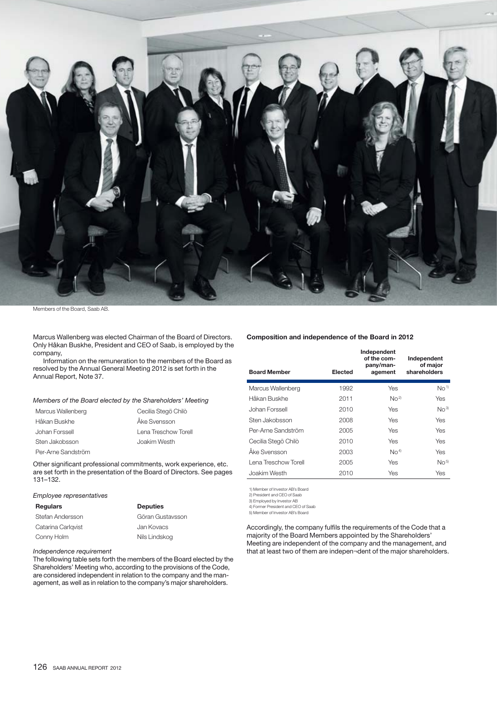

r

Members of the Board, Saab AB.

Marcus Wallenberg was elected Chairman of the Board of Directors. Only Håkan Buskhe, President and CEO of Saab, is employed by the company,

Information on the remuneration to the members of the Board as resolved by the Annual General Meeting 2012 is set forth in the Annual Report, Note 37.

### Members of the Board elected by the Shareholders' Meeting

| Marcus Wallenberg  | Cecilia Stegö Chilò  |
|--------------------|----------------------|
| Håkan Buskhe       | Åke Svensson         |
| Johan Forssell     | Lena Treschow Torell |
| Sten Jakobsson     | Joakim Westh         |
| Per-Arne Sandström |                      |

Other significant professional commitments, work experience, etc. are set forth in the presentation of the Board of Directors. See pages 131–132.

## Employee representatives

| <b>Regulars</b>    | <b>Deputies</b>  |
|--------------------|------------------|
| Stefan Andersson   | Göran Gustavsson |
| Catarina Carlgvist | Jan Kovacs       |
| Conny Holm         | Nils Lindskog    |

#### Independence requirement

The following table sets forth the members of the Board elected by the Shareholders' Meeting who, according to the provisions of the Code, are considered independent in relation to the company and the management, as well as in relation to the company's major shareholders.

### **Composition and independence of the Board in 2012**

| <b>Board Member</b>  | Elected | Independent<br>of the com-<br>pany/man-<br>agement | Independent<br>of major<br>shareholders |
|----------------------|---------|----------------------------------------------------|-----------------------------------------|
| Marcus Wallenberg    | 1992    | Yes                                                | No <sup>1</sup>                         |
| Håkan Buskhe         | 2011    | No <sup>2</sup>                                    | Yes                                     |
| Johan Forssell       | 2010    | Yes                                                | No <sup>3</sup>                         |
| Sten Jakobsson       | 2008    | Yes                                                | Yes                                     |
| Per-Arne Sandström   | 2005    | Yes                                                | Yes                                     |
| Cecilia Stegö Chilò  | 2010    | Yes                                                | Yes                                     |
| Åke Svensson         | 2003    | No <sup>4</sup>                                    | Yes                                     |
| Lena Treschow Torell | 2005    | Yes                                                | No <sup>5</sup>                         |
| Joakim Westh         | 2010    | Yes                                                | Yes                                     |

1) Member of Investor AB's Board 2) President and CEO of Saab

3) Employed by Investor AB 4) Former President and CEO of Saab

5) Member of Investor AB's Board

Accordingly, the company fulfils the requirements of the Code that a majority of the Board Members appointed by the Shareholders' Meeting are independent of the company and the management, and that at least two of them are indepen¬dent of the major shareholders.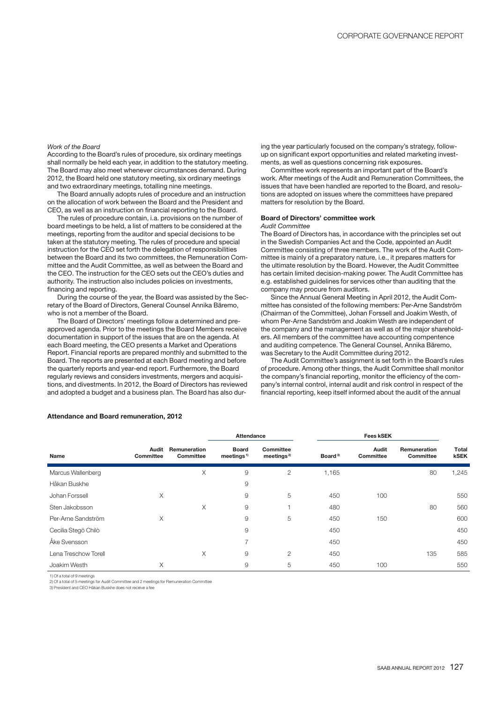#### Work of the Board

According to the Board's rules of procedure, six ordinary meetings shall normally be held each year, in addition to the statutory meeting. The Board may also meet whenever circumstances demand. During 2012, the Board held one statutory meeting, six ordinary meetings and two extraordinary meetings, totalling nine meetings.

The Board annually adopts rules of procedure and an instruction on the allocation of work between the Board and the President and CEO, as well as an instruction on financial reporting to the Board.

The rules of procedure contain, i.a. provisions on the number of board meetings to be held, a list of matters to be considered at the meetings, reporting from the auditor and special decisions to be taken at the statutory meeting. The rules of procedure and special instruction for the CEO set forth the delegation of responsibilities between the Board and its two committees, the Remuneration Committee and the Audit Committee, as well as between the Board and the CEO. The instruction for the CEO sets out the CEO's duties and authority. The instruction also includes policies on investments, financing and reporting.

During the course of the year, the Board was assisted by the Secretary of the Board of Directors, General Counsel Annika Bäremo, who is not a member of the Board.

The Board of Directors' meetings follow a determined and preapproved agenda. Prior to the meetings the Board Members receive documentation in support of the issues that are on the agenda. At each Board meeting, the CEO presents a Market and Operations Report. Financial reports are prepared monthly and submitted to the Board. The reports are presented at each Board meeting and before the quarterly reports and year-end report. Furthermore, the Board regularly reviews and considers investments, mergers and acquisitions, and divestments. In 2012, the Board of Directors has reviewed and adopted a budget and a business plan. The Board has also dur-

ing the year particularly focused on the company's strategy, followup on significant export opportunities and related marketing investments, as well as questions concerning risk exposures.

Committee work represents an important part of the Board's work. After meetings of the Audit and Remuneration Committees, the issues that have been handled are reported to the Board, and resolutions are adopted on issues where the committees have prepared matters for resolution by the Board.

## **Board of Directors' committee work**

## Audit Committee

The Board of Directors has, in accordance with the principles set out in the Swedish Companies Act and the Code, appointed an Audit Committee consisting of three members. The work of the Audit Committee is mainly of a preparatory nature, i.e., it prepares matters for the ultimate resolution by the Board. However, the Audit Committee has certain limited decision-making power. The Audit Committee has e.g. established guidelines for services other than auditing that the company may procure from auditors.

Since the Annual General Meeting in April 2012, the Audit Committee has consisted of the following members: Per-Arne Sandström (Chairman of the Committee), Johan Forssell and Joakim Westh, of whom Per-Arne Sandström and Joakim Westh are independent of the company and the management as well as of the major shareholders. All members of the committee have accounting compentence and auditing competence. The General Counsel, Annika Bäremo, was Secretary to the Audit Committee during 2012.

The Audit Committee's assignment is set forth in the Board's rules of procedure. Among other things, the Audit Committee shall monitor the company's financial reporting, monitor the efficiency of the company's internal control, internal audit and risk control in respect of the financial reporting, keep itself informed about the audit of the annual

|                      |                           |                           | Attendance                                         |                                     |                     | <b>Fees kSEK</b>          |                           |                      |
|----------------------|---------------------------|---------------------------|----------------------------------------------------|-------------------------------------|---------------------|---------------------------|---------------------------|----------------------|
| Name                 | Audit<br><b>Committee</b> | Remuneration<br>Committee | <b>Board</b><br>meetings <sup><math>1</math></sup> | Committee<br>meetings <sup>2)</sup> | Board <sup>3)</sup> | Audit<br><b>Committee</b> | Remuneration<br>Committee | Total<br><b>kSEK</b> |
| Marcus Wallenberg    |                           | X                         | 9                                                  | 2                                   | 1,165               |                           | 80                        | 1,245                |
| Håkan Buskhe         |                           |                           | 9                                                  |                                     |                     |                           |                           |                      |
| Johan Forssell       | X                         |                           | 9                                                  | 5                                   | 450                 | 100                       |                           | 550                  |
| Sten Jakobsson       |                           | X                         | 9                                                  |                                     | 480                 |                           | 80                        | 560                  |
| Per-Arne Sandström   | Χ                         |                           | 9                                                  | 5                                   | 450                 | 150                       |                           | 600                  |
| Cecilia Stegö Chilò  |                           |                           | 9                                                  |                                     | 450                 |                           |                           | 450                  |
| Åke Svensson         |                           |                           | $\overline{ }$                                     |                                     | 450                 |                           |                           | 450                  |
| Lena Treschow Torell |                           | X                         | 9                                                  | 2                                   | 450                 |                           | 135                       | 585                  |
| Joakim Westh         | X                         |                           | 9                                                  | 5                                   | 450                 | 100                       |                           | 550                  |

## **Attendance and Board remuneration, 2012**

1) Of a total of 9 meetings

2) Of a total of 5 meetings for Audit Committee and 2 meetings for Remuneration Committee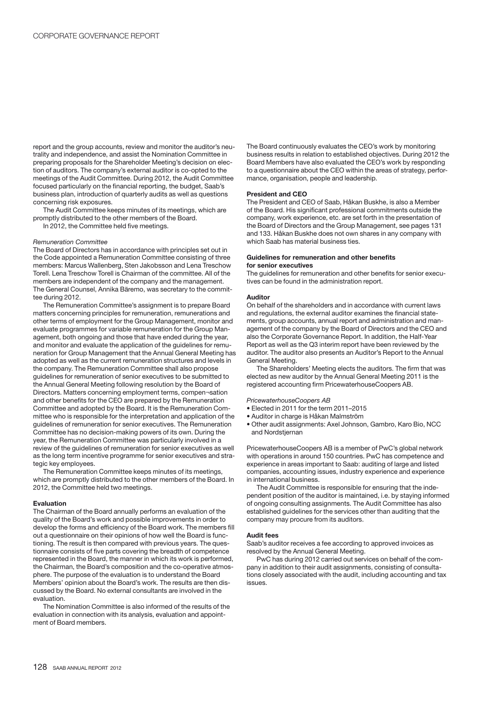report and the group accounts, review and monitor the auditor's neutrality and independence, and assist the Nomination Committee in preparing proposals for the Shareholder Meeting's decision on election of auditors. The company's external auditor is co-opted to the meetings of the Audit Committee. During 2012, the Audit Committee focused particularly on the financial reporting, the budget, Saab's business plan, introduction of quarterly audits as well as questions concerning risk exposures.

The Audit Committee keeps minutes of its meetings, which are promptly distributed to the other members of the Board.

In 2012, the Committee held five meetings.

#### Remuneration Committee

The Board of Directors has in accordance with principles set out in the Code appointed a Remuneration Committee consisting of three members: Marcus Wallenberg, Sten Jakobsson and Lena Treschow Torell. Lena Treschow Torell is Chairman of the committee. All of the members are independent of the company and the management. The General Counsel, Annika Bäremo, was secretary to the committee during 2012.

The Remuneration Committee's assignment is to prepare Board matters concerning principles for remuneration, remunerations and other terms of employment for the Group Management, monitor and evaluate programmes for variable remuneration for the Group Management, both ongoing and those that have ended during the year, and monitor and evaluate the application of the guidelines for remuneration for Group Management that the Annual General Meeting has adopted as well as the current remuneration structures and levels in the company. The Remuneration Committee shall also propose guidelines for remuneration of senior executives to be submitted to the Annual General Meeting following resolution by the Board of Directors. Matters concerning employment terms, compen¬sation and other benefits for the CEO are prepared by the Remuneration Committee and adopted by the Board. It is the Remuneration Committee who is responsible for the interpretation and application of the guidelines of remuneration for senior executives. The Remuneration Committee has no decision-making powers of its own. During the year, the Remuneration Committee was particularly involved in a review of the guidelines of remuneration for senior executives as well as the long term incentive programme for senior executives and strategic key employees.

The Remuneration Committee keeps minutes of its meetings, which are promptly distributed to the other members of the Board. In 2012, the Committee held two meetings.

#### **Evaluation**

The Chairman of the Board annually performs an evaluation of the quality of the Board's work and possible improvements in order to develop the forms and efficiency of the Board work. The members fill out a questionnaire on their opinions of how well the Board is functioning. The result is then compared with previous years. The questionnaire consists of five parts covering the breadth of competence represented in the Board, the manner in which its work is performed, the Chairman, the Board's composition and the co-operative atmosphere. The purpose of the evaluation is to understand the Board Members' opinion about the Board's work. The results are then discussed by the Board. No external consultants are involved in the evaluation.

The Nomination Committee is also informed of the results of the evaluation in connection with its analysis, evaluation and appointment of Board members.

The Board continuously evaluates the CEO's work by monitoring business results in relation to established objectives. During 2012 the Board Members have also evaluated the CEO's work by responding to a questionnaire about the CEO within the areas of strategy, performance, organisation, people and leadership.

### **President and CEO**

The President and CEO of Saab, Håkan Buskhe, is also a Member of the Board. His significant professional commitments outside the company, work experience, etc. are set forth in the presentation of the Board of Directors and the Group Management, see pages 131 and 133. Håkan Buskhe does not own shares in any company with which Saab has material business ties.

## **Guidelines for remuneration and other benefits for senior executives**

The guidelines for remuneration and other benefits for senior executives can be found in the administration report.

#### **Auditor**

On behalf of the shareholders and in accordance with current laws and regulations, the external auditor examines the financial statements, group accounts, annual report and administration and management of the company by the Board of Directors and the CEO and also the Corporate Governance Report. In addition, the Half-Year Report as well as the Q3 interim report have been reviewed by the auditor. The auditor also presents an Auditor's Report to the Annual General Meeting.

The Shareholders' Meeting elects the auditors. The firm that was elected as new auditor by the Annual General Meeting 2011 is the registered accounting firm PricewaterhouseCoopers AB.

#### PricewaterhouseCoopers AB

- Flected in 2011 for the term 2011-2015
- Auditor in charge is Håkan Malmström
- Other audit assignments: Axel Johnson, Gambro, Karo Bio, NCC and Nordstiernan

PricewaterhouseCoopers AB is a member of PwC's global network with operations in around 150 countries. PwC has competence and experience in areas important to Saab: auditing of large and listed companies, accounting issues, industry experience and experience in international business.

The Audit Committee is responsible for ensuring that the independent position of the auditor is maintained, i.e. by staying informed of ongoing consulting assignments. The Audit Committee has also established guidelines for the services other than auditing that the company may procure from its auditors.

### **Audit fees**

Saab's auditor receives a fee according to approved invoices as resolved by the Annual General Meeting.

PwC has during 2012 carried out services on behalf of the company in addition to their audit assignments, consisting of consultations closely associated with the audit, including accounting and tax issues.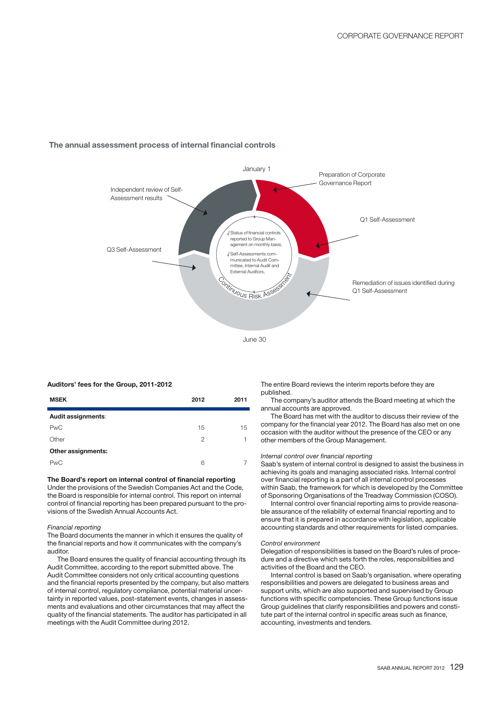

## **The annual assessment process of internal financial controls**

#### **Auditors' fees for the Group, 2011-2012**

| <b>MSEK</b>        | 2012 | 2011 |
|--------------------|------|------|
| Audit assignments: |      |      |
| <b>PwC</b>         | 15   | 15   |
| Other              | 2    | 1    |
| Other assignments: |      |      |
| <b>PwC</b>         | 6    |      |

## **The Board's report on internal control of financial reporting**

Under the provisions of the Swedish Companies Act and the Code, the Board is responsible for internal control. This report on internal control of financial reporting has been prepared pursuant to the provisions of the Swedish Annual Accounts Act.

#### Financial reporting

The Board documents the manner in which it ensures the quality of the financial reports and how it communicates with the company's auditor.

The Board ensures the quality of financial accounting through its Audit Committee, according to the report submitted above. The Audit Committee considers not only critical accounting questions and the financial reports presented by the company, but also matters of internal control, regulatory compliance, potential material uncertainty in reported values, post-statement events, changes in assessments and evaluations and other circumstances that may affect the quality of the financial statements. The auditor has participated in all meetings with the Audit Committee during 2012.

The entire Board reviews the interim reports before they are published.

The company's auditor attends the Board meeting at which the annual accounts are approved.

The Board has met with the auditor to discuss their review of the company for the financial year 2012. The Board has also met on one occasion with the auditor without the presence of the CEO or any other members of the Group Management.

## Internal control over financial reporting

Saab's system of internal control is designed to assist the business in achieving its goals and managing associated risks. Internal control over financial reporting is a part of all internal control processes within Saab, the framework for which is developed by the Committee of Sponsoring Organisations of the Treadway Commission (COSO).

Internal control over financial reporting aims to provide reasonable assurance of the reliability of external financial reporting and to ensure that it is prepared in accordance with legislation, applicable accounting standards and other requirements for listed companies.

#### Control environment

Delegation of responsibilities is based on the Board's rules of procedure and a directive which sets forth the roles, responsibilities and activities of the Board and the CEO.

Internal control is based on Saab's organisation, where operating responsibilities and powers are delegated to business areas and support units, which are also supported and supervised by Group functions with specific competencies. These Group functions issue Group guidelines that clarify responsibilities and powers and constitute part of the internal control in specific areas such as finance, accounting, investments and tenders.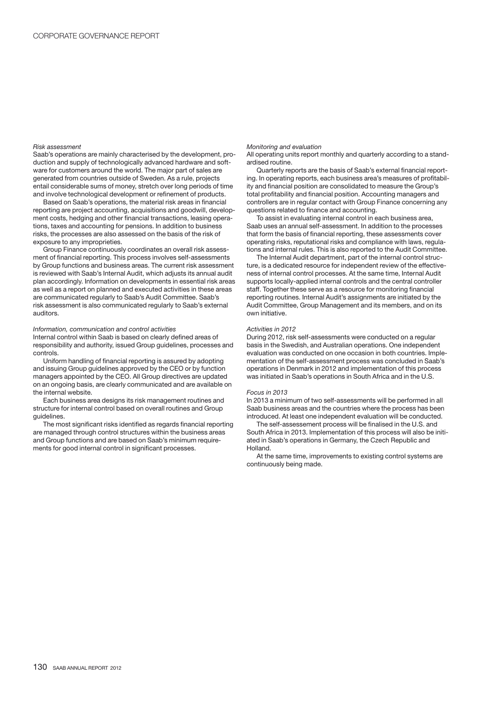#### Risk assessment

Saab's operations are mainly characterised by the development, production and supply of technologically advanced hardware and software for customers around the world. The major part of sales are generated from countries outside of Sweden. As a rule, projects entail considerable sums of money, stretch over long periods of time and involve technological development or refinement of products.

Based on Saab's operations, the material risk areas in financial reporting are project accounting, acquisitions and goodwill, development costs, hedging and other financial transactions, leasing operations, taxes and accounting for pensions. In addition to business risks, the processes are also assessed on the basis of the risk of exposure to any improprieties.

Group Finance continuously coordinates an overall risk assessment of financial reporting. This process involves self-assessments by Group functions and business areas. The current risk assessment is reviewed with Saab's Internal Audit, which adjusts its annual audit plan accordingly. Information on developments in essential risk areas as well as a report on planned and executed activities in these areas are communicated regularly to Saab's Audit Committee. Saab's risk assessment is also communicated regularly to Saab's external auditors.

#### Information, communication and control activities

Internal control within Saab is based on clearly defined areas of responsibility and authority, issued Group guidelines, processes and controls.

Uniform handling of financial reporting is assured by adopting and issuing Group guidelines approved by the CEO or by function managers appointed by the CEO. All Group directives are updated on an ongoing basis, are clearly communicated and are available on the internal website.

Each business area designs its risk management routines and structure for internal control based on overall routines and Group guidelines.

The most significant risks identified as regards financial reporting are managed through control structures within the business areas and Group functions and are based on Saab's minimum requirements for good internal control in significant processes.

#### Monitoring and evaluation

All operating units report monthly and quarterly according to a standardised routine.

Quarterly reports are the basis of Saab's external financial reporting. In operating reports, each business area's measures of profitability and financial position are consolidated to measure the Group's total profitability and financial position. Accounting managers and controllers are in regular contact with Group Finance concerning any questions related to finance and accounting.

To assist in evaluating internal control in each business area, Saab uses an annual self-assessment. In addition to the processes that form the basis of financial reporting, these assessments cover operating risks, reputational risks and compliance with laws, regulations and internal rules. This is also reported to the Audit Committee.

The Internal Audit department, part of the internal control structure, is a dedicated resource for independent review of the effectiveness of internal control processes. At the same time, Internal Audit supports locally-applied internal controls and the central controller staff. Together these serve as a resource for monitoring financial reporting routines. Internal Audit's assignments are initiated by the Audit Committee, Group Management and its members, and on its own initiative.

#### Activities in 2012

During 2012, risk self-assessments were conducted on a regular basis in the Swedish, and Australian operations. One independent evaluation was conducted on one occasion in both countries. Implementation of the self-assessment process was concluded in Saab's operations in Denmark in 2012 and implementation of this process was initiated in Saab's operations in South Africa and in the U.S.

#### Focus in 2013

In 2013 a minimum of two self-assessments will be performed in all Saab business areas and the countries where the process has been introduced. At least one independent evaluation will be conducted.

The self-assessement process will be finalised in the U.S. and South Africa in 2013. Implementation of this process will also be initiated in Saab's operations in Germany, the Czech Republic and Holland.

At the same time, improvements to existing control systems are continuously being made.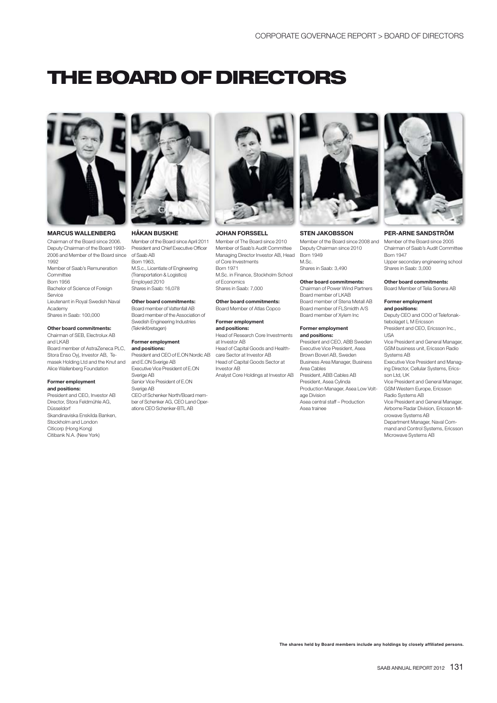# **THE BOARD OF DIRECTORS**



## **MARCUS WALLENBERG**

Chairman of the Board since 2006. Deputy Chairman of the Board 1993- 2006 and Member of the Board since 1992

Member of Saab's Remuneration Committee Born 1956 Bachelor of Science of Foreign Service Lieutenant in Royal Swedish Naval Academy Shares in Saab: 100,000

## **Other board commitments:**

Chairman of SEB, Electrolux AB and LKAB Board member of AstraZeneca PLC, Stora Enso Oyj, Investor AB, Temasek Holding Ltd and the Knut and Alice Wallenberg Foundation

#### **Former employment and positions:**

President and CEO, Investor AB Director, Stora Feldmühle AG, Düsseldorf Skandinaviska Enskilda Banken, Stockholm and London Citicorp (Hong Kong) Citibank N.A. (New York)



#### **HÅKAN BUSKHE**

Member of the Board since April 2011 President and Chief Executive Officer of Saab AB Born 1963,

M.S.c., Licentiate of Engineering (Transportation & Logistics) Employed 2010 Shares in Saab: 16,078

## **Other board commitments:**

Board member of Vattenfall AB Board member of the Association of Swedish Engineering Industries (Teknikföretagen)

## **Former employment**

**and positions:** President and CEO of E.ON Nordic AB and E.ON Sverige AB Executive Vice President of E.ON Sverige AB

Senior Vice President of E.ON Sverige AB CEO of Schenker North/Board member of Schenker AG, CEO Land Operations CEO Schenker-BTL AB



#### **JOHAN FORSSELL**

Member of The Board since 2010 Member of Saab's Audit Committee Managing Director Investor AB, Head Born 1949 of Core Investments Born 1971 M.Sc. in Finance, Stockholm School of Economics Shares in Saab: 7,000

#### **Other board commitments:** Board Member of Atlas Copco

#### **Former employment and positions:**

Head of Research Core Investments at Investor AB Head of Capital Goods and Healthcare Sector at Investor AB Head of Capital Goods Sector at Investor AB Analyst Core Holdings at Investor AB



#### **STEN JAKOBSSON**

Member of the Board since 2008 and Deputy Chairman since 2010 M.Sc.

Shares in Saab: 3,490

### **Other board commitments:**

Chairman of Power Wind Partners Board member of LKAB Board member of Stena Metall AB Board member of FLSmidth A/S Board member of Xylem Inc

#### **Former employment**

**and positions:** President and CEO, ABB Sweden Executive Vice President, Asea Brown Boveri AB, Sweden Business Area Manager, Business Area Cables President, ABB Cables AB President, Asea Cylinda Production Manager, Asea Low Voltage Division Asea central staff – Production Asea trainee



## **PER-ARNE SANDSTRÖM**

Member of the Board since 2005 Chairman of Saab's Audit Committee Born 1947 Upper secondary engineering school Shares in Saab: 3,000

#### **Other board commitments:**

Board Member of Telia Sonera AB

#### **Former employment and positions:**

Deputy CEO and COO of Telefonaktiebolaget L M Fricsson President and CEO, Ericsson Inc., USA

Vice President and General Manager, GSM business unit, Ericsson Radio Systems AB

Executive Vice President and Managing Director, Cellular Systems, Ericsson Ltd, UK

Vice President and General Manager, GSM Western Europe, Ericsson Radio Systems AB

Vice President and General Manager, Airborne Radar Division, Ericsson Mi-

crowave Systems AB Department Manager, Naval Com-

mand and Control Systems, Ericsson Microwave Systems AB

**The shares held by Board members include any holdings by closely affiliated persons.**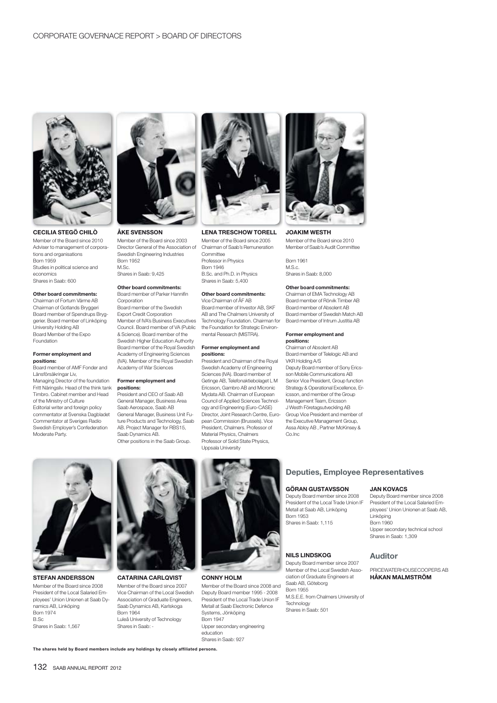

**CECILIA STEGÖ CHILÒ** Member of the Board since 2010 Adviser to management of corporations and organisations Born 1959 Studies in political science and economics Shares in Saab: 600

#### **Other board commitments:**

Chairman of Fortum Värme AB Chairman of Gotlands Bryggeri Board member of Spendrups Bryggerier. Board member of Linköping University Holding AB Board Member of the Expo Foundation

#### **Former employment and positions :**

Board member of AMF Fonder and Länsförsäkringar Liv, Managing Director of the foundation Fritt Näringsliv. Head of the think tank Timbro. Cabinet member and Head of the Ministry of Culture Editorial writer and foreign policy commentator at Svenska Dagbladet Commentator at Sveriges Radio Swedish Employer's Confederation Moderate Party.



**ÅKE SVENSSON**

Member of the Board since 2003 Director General of the Association of Swedish Engineering Industries Born 1952 M.Sc. Shares in Saab: 9,425

#### **Other board commitments:** Board member of Parker Hannifin

Corporation Board member of the Swedish Export Credit Corporation Member of IVA's Business Executives Council. Board member of VA (Public & Science). Board member of the Swedish Higher Education Authority Board member of the Royal Swedish Academy of Engineering Sciences (IVA). Member of the Royal Swedish Academy of War Sciences

#### **Former employment and positions :**

President and CEO of Saab AB General Manager, Business Area Saab Aerospace, Saab AB General Manager, Business Unit Future Products and Technology, Saab AB. Project Manager for RBS15, Saab Dynamics AB. Other positions in the Saab Group.



## **LENA TRESCHOW TORELL**

Member of the Board since 2005 Chairman of Saab's Remuneration Committee Professor in Physics Born 1946 B.Sc. and Ph.D. in Physics Shares in Saab: 5,400

#### **Other board commitments:**

Vice Chairman of ÅF AB Board member of Investor AB, SKF AB and The Chalmers University of Technology Foundation. Chairman for the Foundation for Strategic Environmental Research (MISTRA).

#### **Former employment and positions :**

President and Chairman of the Royal Swedish Academy of Engineering Sciences (IVA). Board member of Getinge AB, Telefonaktiebolaget L M Ericsson, Gambro AB and Micronic Mydata AB. Chairman of European Council of Applied Sciences Technology and Engineering (Euro-CASE) Director, Joint Research Centre, European Commission (Brussels). Vice President, Chalmers. Professor of Material Physics, Chalmers Professor of Solid State Physics, Uppsala University



**JOAKIM WESTH** Member of the Board since 2010

Member of Saab's Audit Committee Born 1961

M.S.c. Shares in Saab: 8,000

#### **Other board commitments:**

Chairman of EMA Technology AB Board member of Rörvik Timber AB Board member of Absolent AB Board member of Swedish Match AB Board member of Intrum Justitia AB

#### **Former employment and positions :**

Chairman of Absolent AB Board member of Telelogic AB and VKR Holding A/S Deputy Board member of Sony Ericsson Mobile Communications AB Senior Vice President, Group function Strategy & Operational Excellence, Ericsson, and member of the Group Management Team, Ericsson J Westh Företagsutveckling AB Group Vice President and member of the Executive Management Group, Assa Abloy AB , Partner McKinsey & Co.Inc



**STEFAN ANDERSSON** Member of the Board since 2008 President of the Local Salaried Employees' Union Unionen at Saab Dynamics AB, Linköping Born 1974 B.Sc Shares in Saab: 1,567



Member of the Board since 2007

Vice Chairman of the Local Swedish Association of Graduate Engineers, Saab Dynamics AB, Karlskoga Born 1964 Luleå University of Technology Shares in Saab:



### **CONNY HOLM**

Member of the Board since 2008 and Deputy Board member 1995 - 2008 President of the Local Trade Union IF Metall at Saab Electronic Defence Systems, Jönköping Born 1947 Upper secondary engineering education Shares in Saab: 927

## **Deputies, Employee Representatives**

## **GÖRAN GUSTAVSSON**

Deputy Board member since 2008 President of the Local Trade Union IF Metall at Saab AB, Linköping Born 1953 Shares in Saab: 1,115

## **NILS LINDSKOG**

Deputy Board member since 2007 Member of the Local Swedish Association of Graduate Engineers at Saab AB, Göteborg Born 1955 M.S.E.E. from Chalmers University of Technology Shares in Saab: 501

## **JAN KOVACS**

Deputy Board member since 2008 President of the Local Salaried Employees' Union Unionen at Saab AB, Linköping Born 1960 Upper secondary technical school Shares in Saab: 1,309

## **Auditor**

PRICEWATERHOUSECOOPERS AB **HÅKAN MALMSTRÖM**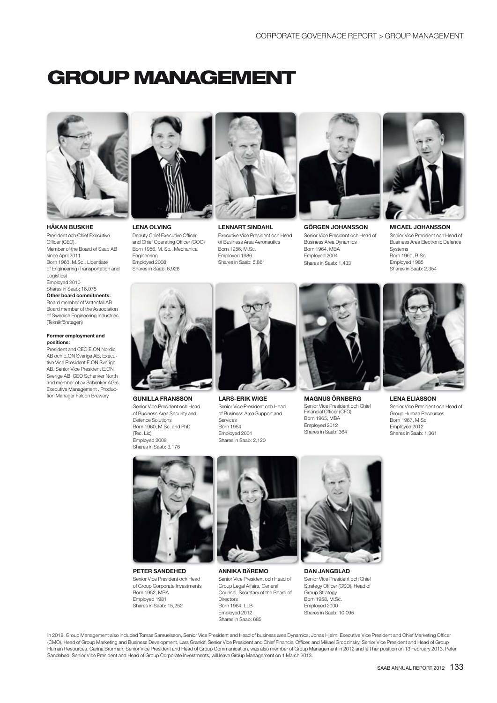# **GROUP MANAGEMENT**



**HÅKAN BUSKHE** President och Chief Executive Officer (CEO). Member of the Board of Saab AB since April 2011 Born 1963, M.Sc., Licentiate of Engineering (Transportation and Logistics) Employed 2010 Shares in Saab: 16,078 **Other board commitments:** Board member of Vattenfall AB Board member of the Association of Swedish Engineering Industries (Teknikföretagen)

#### **Former employment and positions:**

President and CEO E.ON Nordic AB och E.ON Sverige AB, Executive Vice President E.ON Sverige AB, Senior Vice President E.ON Sverige AB, CEO Schenker North and member of av Schenker AG:s Executive Management , Production Manager Falcon Brewery



**LENA OLVING** Deputy Chief Executive Officer and Chief Operating Officer (COO) Born 1956, M. Sc., Mechanical Engineering Employed 2008 Shares in Saab: 6,926



**LENNART SINDAHL** Executive Vice President och Head of Business Area Aeronautics Born 1956, M.Sc. Employed 1986 Shares in Saab: 5,861



**GÖRGEN JOHANSSON** Senior Vice President och Head of Business Area Dynamics Born 1964, MBA Employed 2004 Shares in Saab: 1,433



**MICAEL JOHANSSON** Senior Vice President och Head of Business Area Electronic Defence **Systems** Born 1960, B.Sc. Employed 1985 Shares in Saab: 2,354



**GUNILLA FRANSSON** Senior Vice President och Head of Business Area Security and Defence Solutions Born 1960, M.Sc. and PhD (Tec. Lic) Employed 2008 Shares in Saab: 3,176



**LARS-ERIK WIGE** Senior Vice President och Head of Business Area Support and Services Born 1954 Employed 2001 Shares in Saab: 2,120



**MAGNUS ÖRNBERG** Senior Vice President och Chief Financial Officer (CFO) Born 1965, MBA Employed 2012 Shares in Saab: 364



**LENA ELIASSON** Senior Vice President och Head of Group Human Resources Born 1967, M.Sc. Employed 2012 Shares in Saab: 1,361



**PETER SANDEHED** Senior Vice President och Head of Group Corporate Investments Born 1952, MBA Employed 1981 Shares in Saab: 15,252



**ANNIKA BÄREMO** Senior Vice President och Head of Group Legal Affairs, General Counsel, Secretary of the Board of **Directors** Born 1964, LLB Employed 2012 Shares in Saab: 685



**DAN JANGBLAD** Senior Vice President och Chief Strategy Officer (CSO), Head of Group Strategy Born 1958, M.Sc. Employed 2000 Shares in Saab: 10,095

In 2012, Group Management also included Tomas Samuelsson, Senior Vice President and Head of business area Dynamics, Jonas Hjelm, Executive Vice President and Chief Marketing Officer (CMO), Head of Group Marketing and Business Development, Lars Granlöf, Senior Vice President and Chief Financial Officer, and Mikael Grodzinsky, Senior Vice President and Head of Group Human Resources. Carina Brorman, Senior Vice President and Head of Group Communication, was also member of Group Management in 2012 and left her position on 13 February 2013. Peter Sandehed, Senior Vice President and Head of Group Corporate Investments, will leave Group Management on 1 March 2013.